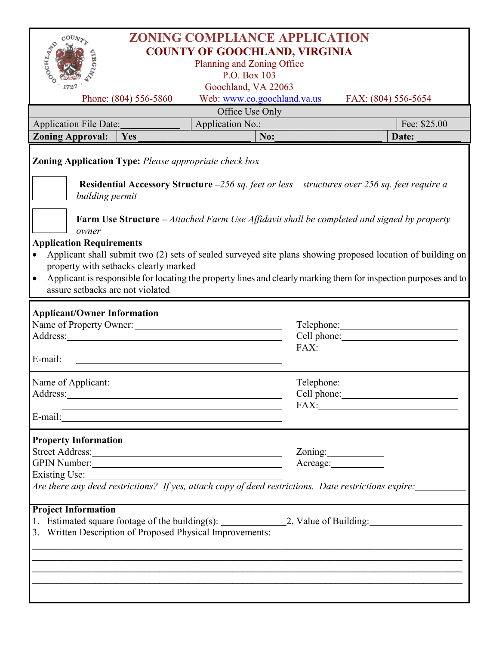| <b>ZONING COMPLIANCE APPLICATION</b><br>COUN <sub>2</sub><br>GOGHLAND<br><b>COUNTY OF GOOCHLAND, VIRGINIA</b><br>Planning and Zoning Office<br>P.O. Box 103<br>Goochland, VA 22063                                                                                                                                                                                                                                                                     |                                                                                                                        |                                                                                                                                                                                                                                                                                                                                                                                                                                                                                 |  |
|--------------------------------------------------------------------------------------------------------------------------------------------------------------------------------------------------------------------------------------------------------------------------------------------------------------------------------------------------------------------------------------------------------------------------------------------------------|------------------------------------------------------------------------------------------------------------------------|---------------------------------------------------------------------------------------------------------------------------------------------------------------------------------------------------------------------------------------------------------------------------------------------------------------------------------------------------------------------------------------------------------------------------------------------------------------------------------|--|
| Phone: (804) 556-5860                                                                                                                                                                                                                                                                                                                                                                                                                                  | Web: www.co.goochland.va.us                                                                                            | FAX: (804) 556-5654                                                                                                                                                                                                                                                                                                                                                                                                                                                             |  |
| Office Use Only                                                                                                                                                                                                                                                                                                                                                                                                                                        |                                                                                                                        |                                                                                                                                                                                                                                                                                                                                                                                                                                                                                 |  |
| Application File Date:                                                                                                                                                                                                                                                                                                                                                                                                                                 | Application No.:                                                                                                       | Fee: \$25.00                                                                                                                                                                                                                                                                                                                                                                                                                                                                    |  |
| <b>Zoning Approval:</b><br>Yes                                                                                                                                                                                                                                                                                                                                                                                                                         | No:                                                                                                                    | Date:                                                                                                                                                                                                                                                                                                                                                                                                                                                                           |  |
| Zoning Application Type: Please appropriate check box<br>Residential Accessory Structure -256 sq. feet or less - structures over 256 sq. feet require a<br>building permit<br><b>Farm Use Structure</b> – Attached Farm Use Affidavit shall be completed and signed by property<br>owner<br><b>Application Requirements</b><br>Applicant shall submit two (2) sets of sealed surveyed site plans showing proposed location of building on<br>$\bullet$ |                                                                                                                        |                                                                                                                                                                                                                                                                                                                                                                                                                                                                                 |  |
| property with setbacks clearly marked<br>Applicant is responsible for locating the property lines and clearly marking them for inspection purposes and to<br>$\bullet$<br>assure setbacks are not violated                                                                                                                                                                                                                                             |                                                                                                                        |                                                                                                                                                                                                                                                                                                                                                                                                                                                                                 |  |
| <b>Applicant/Owner Information</b><br>Name of Property Owner:<br>Address: <u>and the same of the same of the same of the same of the same of the same of the same of the same of the same of the same of the same of the same of the same of the same of the same of the same of the same of the </u><br>E-mail:                                                                                                                                       |                                                                                                                        |                                                                                                                                                                                                                                                                                                                                                                                                                                                                                 |  |
| Name of Applicant:                                                                                                                                                                                                                                                                                                                                                                                                                                     | <u> 1980 - Johann Barnett, fransk politik (d. 1980)</u><br><u> 1989 - Johann Stoff, amerikansk politiker (d. 1989)</u> | Telephone: The contract of the contract of the contract of the contract of the contract of the contract of the contract of the contract of the contract of the contract of the contract of the contract of the contract of the<br>Cell phone:<br>FAX: The contract of the contract of the contract of the contract of the contract of the contract of the contract of the contract of the contract of the contract of the contract of the contract of the contract of the contr |  |
| <b>Property Information</b><br>GPIN Number:<br>Existing Use: No. 2020 Section 2020 Section 2020 Section 2020 Section 2020 Section 2020 Section 2020 Section 20<br>Are there any deed restrictions? If yes, attach copy of deed restrictions. Date restrictions expire:                                                                                                                                                                                 |                                                                                                                        | Zoning:<br>Acreage:                                                                                                                                                                                                                                                                                                                                                                                                                                                             |  |
| <b>Project Information</b><br>1. Estimated square footage of the building(s): _________________________________<br>3. Written Description of Proposed Physical Improvements:                                                                                                                                                                                                                                                                           | ,我们也不能在这里的时候,我们也不能在这里的时候,我们也不能会不能会不能会不能会不能会不能会不能会不能会不能会不能会。""我们的是我们的,我们也不能会不能会不能                                       |                                                                                                                                                                                                                                                                                                                                                                                                                                                                                 |  |
|                                                                                                                                                                                                                                                                                                                                                                                                                                                        |                                                                                                                        |                                                                                                                                                                                                                                                                                                                                                                                                                                                                                 |  |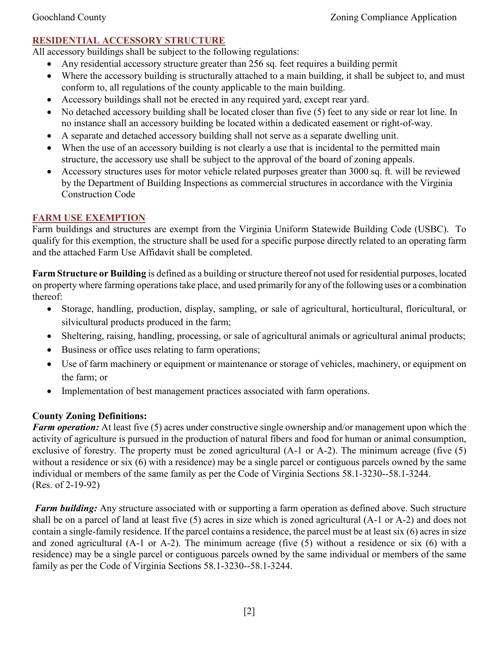## **RESIDENTIAL ACCESSORY STRUCTURE**

All accessory buildings shall be subject to the following regulations:

- Any residential accessory structure greater than 256 sq. feet requires a building permit
- Where the accessory building is structurally attached to a main building, it shall be subject to, and must conform to, all regulations of the county applicable to the main building.
- Accessory buildings shall not be erected in any required yard, except rear yard.
- No detached accessory building shall be located closer than five (5) feet to any side or rear lot line. In no instance shall an accessory building be located within a dedicated easement or right-of-way.
- A separate and detached accessory building shall not serve as a separate dwelling unit.
- When the use of an accessory building is not clearly a use that is incidental to the permitted main structure, the accessory use shall be subject to the approval of the board of zoning appeals.
- Accessory structures uses for motor vehicle related purposes greater than 3000 sq. ft. will be reviewed by the Department of Building Inspections as commercial structures in accordance with the Virginia Construction Code

# **FARM USE EXEMPTION**

Farm buildings and structures are exempt from the Virginia Uniform Statewide Building Code (USBC). To qualify for this exemption, the structure shall be used for a specific purpose directly related to an operating farm and the attached Farm Use Affidavit shall be completed.

**Farm Structure or Building** is defined as a building or structure thereof not used for residential purposes, located on property where farming operations take place, and used primarily for any of the following uses or a combination thereof:

- Storage, handling, production, display, sampling, or sale of agricultural, horticultural, floricultural, or silvicultural products produced in the farm;
- Sheltering, raising, handling, processing, or sale of agricultural animals or agricultural animal products;
- Business or office uses relating to farm operations;
- Use of farm machinery or equipment or maintenance or storage of vehicles, machinery, or equipment on the farm; or
- Implementation of best management practices associated with farm operations.

## **County Zoning Definitions:**

*Farm operation:* At least five (5) acres under constructive single ownership and/or management upon which the activity of agriculture is pursued in the production of natural fibers and food for human or animal consumption, exclusive of forestry. The property must be zoned agricultural (A-1 or A-2). The minimum acreage (five (5) without a residence or six (6) with a residence) may be a single parcel or contiguous parcels owned by the same individual or members of the same family as per the Code of Virginia Sections 58.1-3230--58.1-3244. (Res. of 2-19-92)

*Farm building:* Any structure associated with or supporting a farm operation as defined above. Such structure shall be on a parcel of land at least five (5) acres in size which is zoned agricultural (A-1 or A-2) and does not contain a single-family residence. If the parcel contains a residence, the parcel must be at least six (6) acres in size and zoned agricultural (A-1 or A-2). The minimum acreage (five (5) without a residence or six (6) with a residence) may be a single parcel or contiguous parcels owned by the same individual or members of the same family as per the Code of Virginia Sections 58.1-3230--58.1-3244.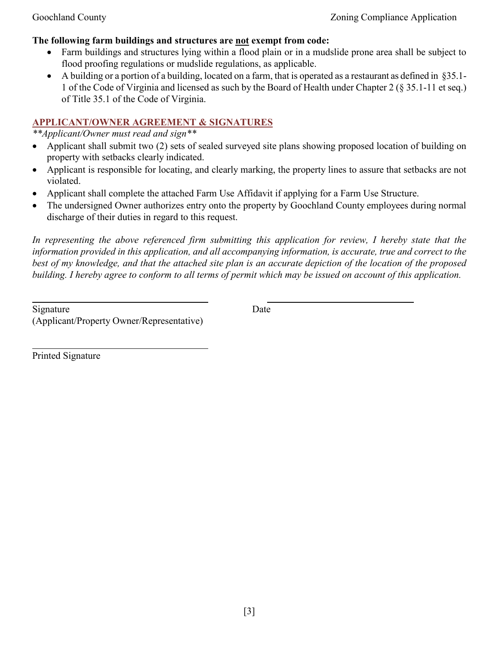#### **The following farm buildings and structures are not exempt from code:**

- Farm buildings and structures lying within a flood plain or in a mudslide prone area shall be subject to flood proofing regulations or mudslide regulations, as applicable.
- A building or a portion of a building, located on a farm, that is operated as a restaurant as defined in §35.1-1 of the Code of Virginia and licensed as such by the Board of Health under Chapter 2 (§ 35.1-11 et seq.) of Title 35.1 of the Code of Virginia.

### **APPLICANT/OWNER AGREEMENT & SIGNATURES**

*\*\*Applicant/Owner must read and sign\*\**

- Applicant shall submit two (2) sets of sealed surveyed site plans showing proposed location of building on property with setbacks clearly indicated.
- Applicant is responsible for locating, and clearly marking, the property lines to assure that setbacks are not violated.
- Applicant shall complete the attached Farm Use Affidavit if applying for a Farm Use Structure.
- The undersigned Owner authorizes entry onto the property by Goochland County employees during normal discharge of their duties in regard to this request.

*In representing the above referenced firm submitting this application for review, I hereby state that the information provided in this application, and all accompanying information, is accurate, true and correct to the best of my knowledge, and that the attached site plan is an accurate depiction of the location of the proposed building. I hereby agree to conform to all terms of permit which may be issued on account of this application.* 

Signature Date (Applicant/Property Owner/Representative)

Printed Signature